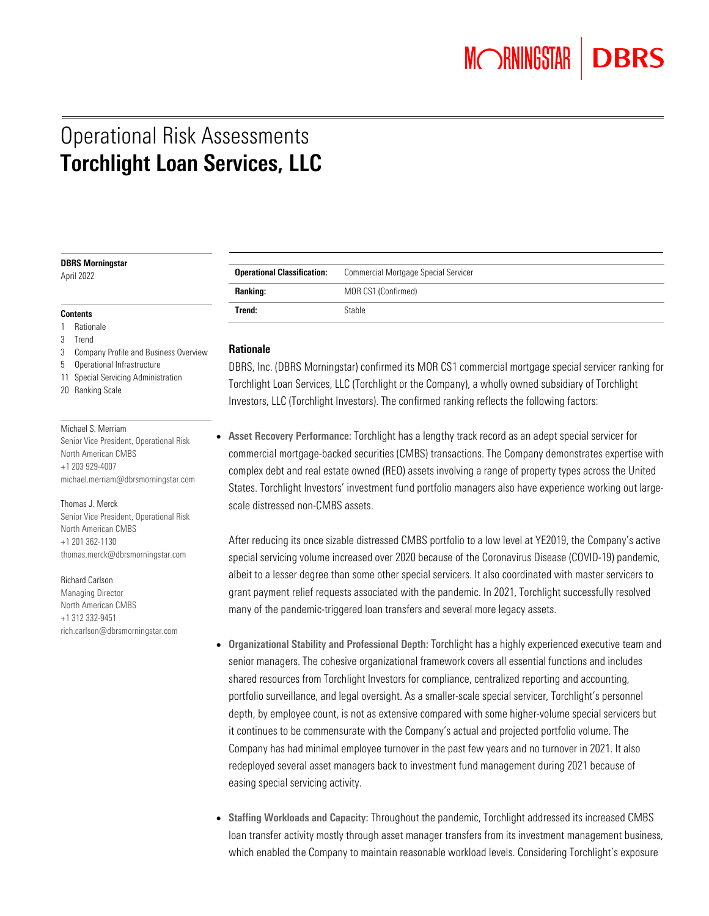## Operational Risk Assessments Torchlight Loan Services, LLC

#### DBRS Morningstar

April 2022

#### **Contents**

- 1 Rationale
- 3 Trend
- 3 Company Profile and Business Overview
- 5 Operational Infrastructure
- 11 Special Servicing Administration 20 Ranking Scale

#### Michael S. Merriam

Senior Vice President, Operational Risk North American CMBS +1 203 929-4007 [michael.merriam@dbrsmorningstar.com](mailto:michael.merriam@dbrsmorningstar.com)

#### Thomas J. Merck

Senior Vice President, Operational Risk North American CMBS +1 201 362-1130 [thomas.merck@dbrsmorningstar.com](mailto:thomas.merck@dbrsmorningstar.com)

#### Richard Carlson

Managing Director North American CMBS +1 312 332-9451 rich.carlson@dbrsmorningstar.com

| <b>Operational Classification:</b> | Commercial Mortgage Special Servicer |
|------------------------------------|--------------------------------------|
| <b>Ranking:</b>                    | MOR CS1 (Confirmed)                  |
| Trend:                             | Stable                               |

#### **Rationale**

DBRS, Inc. (DBRS Morningstar) confirmed its MOR CS1 commercial mortgage special servicer ranking for Torchlight Loan Services, LLC (Torchlight or the Company), a wholly owned subsidiary of Torchlight Investors, LLC (Torchlight Investors). The confirmed ranking reflects the following factors:

### • Asset Recovery Performance: Torchlight has a lengthy track record as an adept special servicer for commercial mortgage-backed securities (CMBS) transactions. The Company demonstrates expertise with complex debt and real estate owned (REO) assets involving a range of property types across the United States. Torchlight Investors' investment fund portfolio managers also have experience working out largescale distressed non-CMBS assets.

After reducing its once sizable distressed CMBS portfolio to a low level at YE2019, the Company's active special servicing volume increased over 2020 because of the Coronavirus Disease (COVID-19) pandemic, albeit to a lesser degree than some other special servicers. It also coordinated with master servicers to grant payment relief requests associated with the pandemic. In 2021, Torchlight successfully resolved many of the pandemic-triggered loan transfers and several more legacy assets.

- Organizational Stability and Professional Depth: Torchlight has a highly experienced executive team and senior managers. The cohesive organizational framework covers all essential functions and includes shared resources from Torchlight Investors for compliance, centralized reporting and accounting, portfolio surveillance, and legal oversight. As a smaller-scale special servicer, Torchlight's personnel depth, by employee count, is not as extensive compared with some higher-volume special servicers but it continues to be commensurate with the Company's actual and projected portfolio volume. The Company has had minimal employee turnover in the past few years and no turnover in 2021. It also redeployed several asset managers back to investment fund management during 2021 because of easing special servicing activity.
- Staffing Workloads and Capacity: Throughout the pandemic, Torchlight addressed its increased CMBS loan transfer activity mostly through asset manager transfers from its investment management business, which enabled the Company to maintain reasonable workload levels. Considering Torchlight's exposure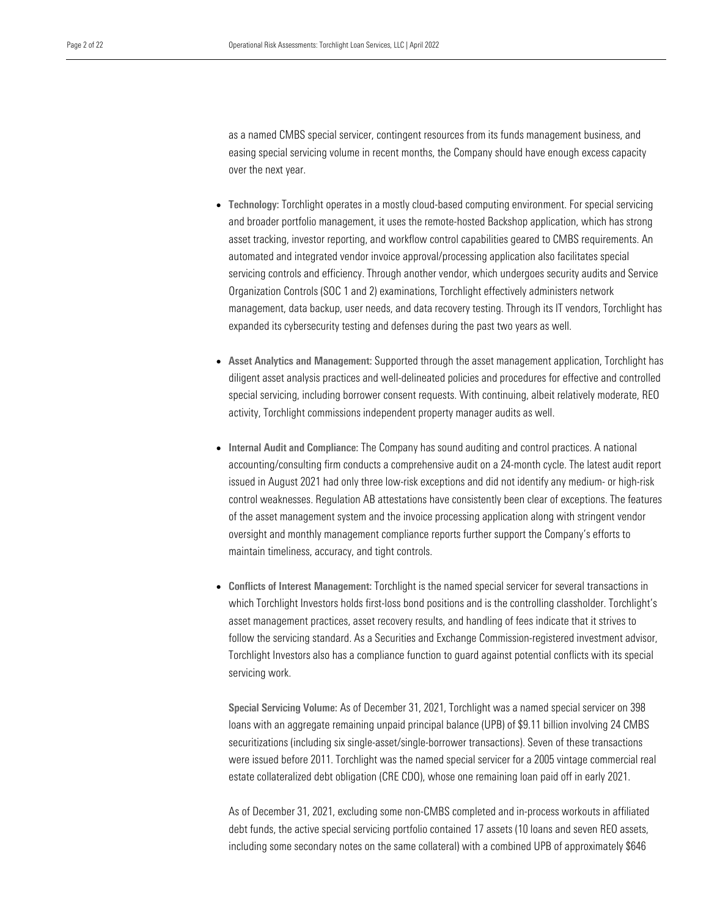as a named CMBS special servicer, contingent resources from its funds management business, and easing special servicing volume in recent months, the Company should have enough excess capacity over the next year.

- Technology: Torchlight operates in a mostly cloud-based computing environment. For special servicing and broader portfolio management, it uses the remote-hosted Backshop application, which has strong asset tracking, investor reporting, and workflow control capabilities geared to CMBS requirements. An automated and integrated vendor invoice approval/processing application also facilitates special servicing controls and efficiency. Through another vendor, which undergoes security audits and Service Organization Controls (SOC 1 and 2) examinations, Torchlight effectively administers network management, data backup, user needs, and data recovery testing. Through its IT vendors, Torchlight has expanded its cybersecurity testing and defenses during the past two years as well.
- Asset Analytics and Management: Supported through the asset management application, Torchlight has diligent asset analysis practices and well-delineated policies and procedures for effective and controlled special servicing, including borrower consent requests. With continuing, albeit relatively moderate, REO activity, Torchlight commissions independent property manager audits as well.
- Internal Audit and Compliance: The Company has sound auditing and control practices. A national accounting/consulting firm conducts a comprehensive audit on a 24-month cycle. The latest audit report issued in August 2021 had only three low-risk exceptions and did not identify any medium- or high-risk control weaknesses. Regulation AB attestations have consistently been clear of exceptions. The features of the asset management system and the invoice processing application along with stringent vendor oversight and monthly management compliance reports further support the Company's efforts to maintain timeliness, accuracy, and tight controls.
- Conflicts of Interest Management: Torchlight is the named special servicer for several transactions in which Torchlight Investors holds first-loss bond positions and is the controlling classholder. Torchlight's asset management practices, asset recovery results, and handling of fees indicate that it strives to follow the servicing standard. As a Securities and Exchange Commission-registered investment advisor, Torchlight Investors also has a compliance function to guard against potential conflicts with its special servicing work.

Special Servicing Volume: As of December 31, 2021, Torchlight was a named special servicer on 398 loans with an aggregate remaining unpaid principal balance (UPB) of \$9.11 billion involving 24 CMBS securitizations (including six single-asset/single-borrower transactions). Seven of these transactions were issued before 2011. Torchlight was the named special servicer for a 2005 vintage commercial real estate collateralized debt obligation (CRE CDO), whose one remaining loan paid off in early 2021.

As of December 31, 2021, excluding some non-CMBS completed and in-process workouts in affiliated debt funds, the active special servicing portfolio contained 17 assets (10 loans and seven REO assets, including some secondary notes on the same collateral) with a combined UPB of approximately \$646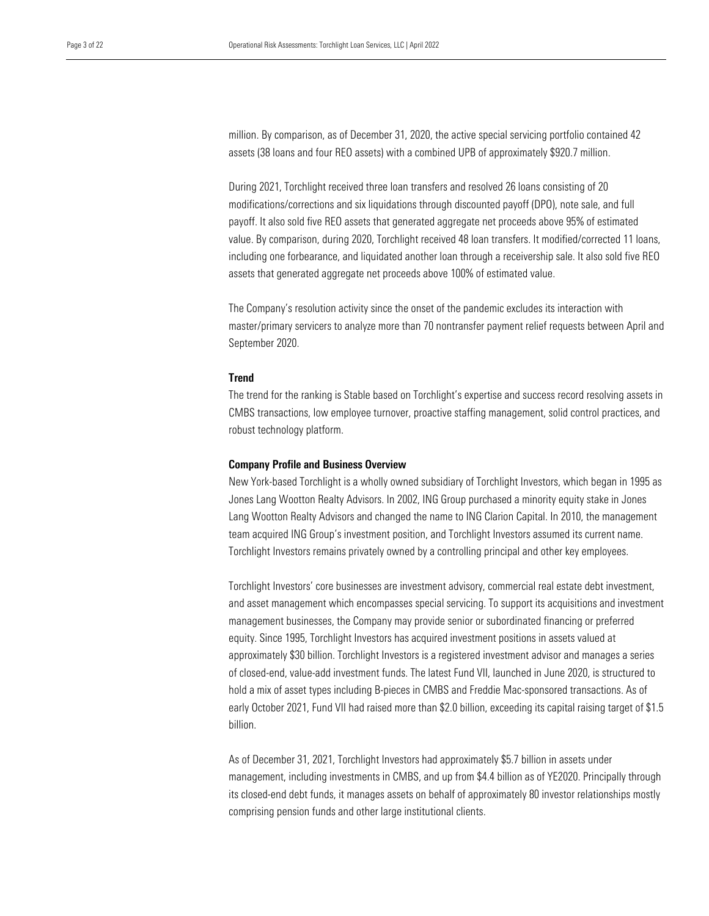million. By comparison, as of December 31, 2020, the active special servicing portfolio contained 42 assets (38 loans and four REO assets) with a combined UPB of approximately \$920.7 million.

During 2021, Torchlight received three loan transfers and resolved 26 loans consisting of 20 modifications/corrections and six liquidations through discounted payoff (DPO), note sale, and full payoff. It also sold five REO assets that generated aggregate net proceeds above 95% of estimated value. By comparison, during 2020, Torchlight received 48 loan transfers. It modified/corrected 11 loans, including one forbearance, and liquidated another loan through a receivership sale. It also sold five REO assets that generated aggregate net proceeds above 100% of estimated value.

The Company's resolution activity since the onset of the pandemic excludes its interaction with master/primary servicers to analyze more than 70 nontransfer payment relief requests between April and September 2020.

#### **Trend**

The trend for the ranking is Stable based on Torchlight's expertise and success record resolving assets in CMBS transactions, low employee turnover, proactive staffing management, solid control practices, and robust technology platform.

#### Company Profile and Business Overview

New York-based Torchlight is a wholly owned subsidiary of Torchlight Investors, which began in 1995 as Jones Lang Wootton Realty Advisors. In 2002, ING Group purchased a minority equity stake in Jones Lang Wootton Realty Advisors and changed the name to ING Clarion Capital. In 2010, the management team acquired ING Group's investment position, and Torchlight Investors assumed its current name. Torchlight Investors remains privately owned by a controlling principal and other key employees.

Torchlight Investors' core businesses are investment advisory, commercial real estate debt investment, and asset management which encompasses special servicing. To support its acquisitions and investment management businesses, the Company may provide senior or subordinated financing or preferred equity. Since 1995, Torchlight Investors has acquired investment positions in assets valued at approximately \$30 billion. Torchlight Investors is a registered investment advisor and manages a series of closed-end, value-add investment funds. The latest Fund VII, launched in June 2020, is structured to hold a mix of asset types including B-pieces in CMBS and Freddie Mac-sponsored transactions. As of early October 2021, Fund VII had raised more than \$2.0 billion, exceeding its capital raising target of \$1.5 billion.

As of December 31, 2021, Torchlight Investors had approximately \$5.7 billion in assets under management, including investments in CMBS, and up from \$4.4 billion as of YE2020. Principally through its closed-end debt funds, it manages assets on behalf of approximately 80 investor relationships mostly comprising pension funds and other large institutional clients.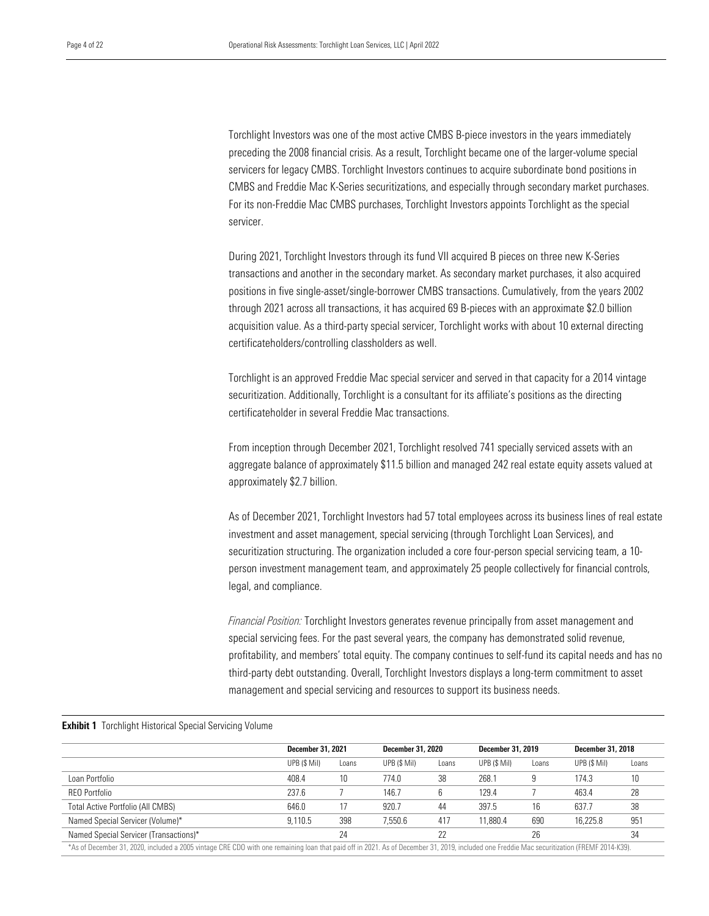Torchlight Investors was one of the most active CMBS B-piece investors in the years immediately preceding the 2008 financial crisis. As a result, Torchlight became one of the larger-volume special servicers for legacy CMBS. Torchlight Investors continues to acquire subordinate bond positions in CMBS and Freddie Mac K-Series securitizations, and especially through secondary market purchases. For its non-Freddie Mac CMBS purchases, Torchlight Investors appoints Torchlight as the special servicer.

During 2021, Torchlight Investors through its fund VII acquired B pieces on three new K-Series transactions and another in the secondary market. As secondary market purchases, it also acquired positions in five single-asset/single-borrower CMBS transactions. Cumulatively, from the years 2002 through 2021 across all transactions, it has acquired 69 B-pieces with an approximate \$2.0 billion acquisition value. As a third-party special servicer, Torchlight works with about 10 external directing certificateholders/controlling classholders as well.

Torchlight is an approved Freddie Mac special servicer and served in that capacity for a 2014 vintage securitization. Additionally, Torchlight is a consultant for its affiliate's positions as the directing certificateholder in several Freddie Mac transactions.

From inception through December 2021, Torchlight resolved 741 specially serviced assets with an aggregate balance of approximately \$11.5 billion and managed 242 real estate equity assets valued at approximately \$2.7 billion.

As of December 2021, Torchlight Investors had 57 total employees across its business lines of real estate investment and asset management, special servicing (through Torchlight Loan Services), and securitization structuring. The organization included a core four-person special servicing team, a 10 person investment management team, and approximately 25 people collectively for financial controls, legal, and compliance.

*Financial Position:* Torchlight Investors generates revenue principally from asset management and special servicing fees. For the past several years, the company has demonstrated solid revenue, profitability, and members' total equity. The company continues to self-fund its capital needs and has no third-party debt outstanding. Overall, Torchlight Investors displays a long-term commitment to asset management and special servicing and resources to support its business needs.

|                                                                                                                                                                                             | <b>December 31, 2021</b> |       |              | <b>December 31, 2019</b><br><b>December 31, 2020</b> |              |       | <b>December 31, 2018</b> |       |
|---------------------------------------------------------------------------------------------------------------------------------------------------------------------------------------------|--------------------------|-------|--------------|------------------------------------------------------|--------------|-------|--------------------------|-------|
|                                                                                                                                                                                             | UPB (\$ Mil)             | Loans | UPB (\$ Mil) | Loans                                                | UPB (\$ Mil) | Loans | UPB (\$ Mil)             | Loans |
| Loan Portfolio                                                                                                                                                                              | 408.4                    | 10    | 774.0        | 38                                                   | 268.1        |       | 174.3                    | 10    |
| <b>REO Portfolio</b>                                                                                                                                                                        | 237.6                    |       | 146.7        |                                                      | 129.4        |       | 463.4                    | 28    |
| Total Active Portfolio (All CMBS)                                                                                                                                                           | 646.0                    |       | 920.7        | 44                                                   | 397.5        | 16    | 637.7                    | 38    |
| Named Special Servicer (Volume)*                                                                                                                                                            | 9.110.5                  | 398   | 7.550.6      | 417                                                  | 11.880.4     | 690   | 16.225.8                 | 951   |
| Named Special Servicer (Transactions)*                                                                                                                                                      |                          | 24    |              |                                                      |              | 26    |                          | 34    |
| *As of December 31, 2020, included a 2005 vintage CRE CDO with one remaining loan that paid off in 2021. As of December 31, 2019, included one Freddie Mac securitization (FREMF 2014-K39). |                          |       |              |                                                      |              |       |                          |       |

#### **Exhibit 1** Torchlight Historical Special Servicing Volume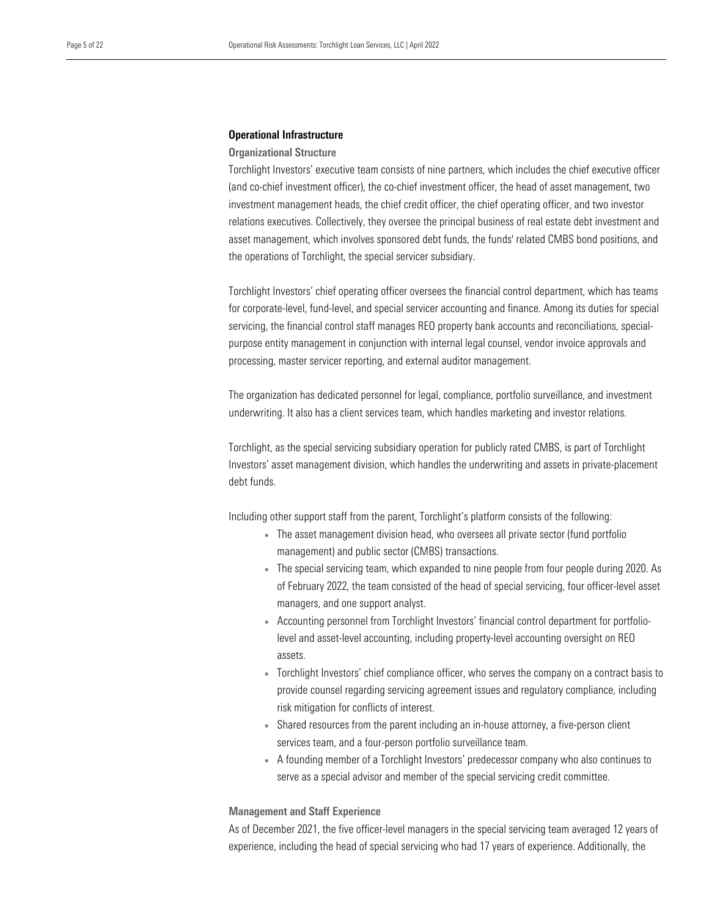#### Operational Infrastructure

#### Organizational Structure

Torchlight Investors' executive team consists of nine partners, which includes the chief executive officer (and co-chief investment officer), the co-chief investment officer, the head of asset management, two investment management heads, the chief credit officer, the chief operating officer, and two investor relations executives. Collectively, they oversee the principal business of real estate debt investment and asset management, which involves sponsored debt funds, the funds' related CMBS bond positions, and the operations of Torchlight, the special servicer subsidiary.

Torchlight Investors' chief operating officer oversees the financial control department, which has teams for corporate-level, fund-level, and special servicer accounting and finance. Among its duties for special servicing, the financial control staff manages REO property bank accounts and reconciliations, specialpurpose entity management in conjunction with internal legal counsel, vendor invoice approvals and processing, master servicer reporting, and external auditor management.

The organization has dedicated personnel for legal, compliance, portfolio surveillance, and investment underwriting. It also has a client services team, which handles marketing and investor relations.

Torchlight, as the special servicing subsidiary operation for publicly rated CMBS, is part of Torchlight Investors' asset management division, which handles the underwriting and assets in private-placement debt funds.

Including other support staff from the parent, Torchlight's platform consists of the following:

- The asset management division head, who oversees all private sector (fund portfolio management) and public sector (CMBS) transactions.
- The special servicing team, which expanded to nine people from four people during 2020. As of February 2022, the team consisted of the head of special servicing, four officer-level asset managers, and one support analyst.
- Accounting personnel from Torchlight Investors' financial control department for portfoliolevel and asset-level accounting, including property-level accounting oversight on REO assets.
- Torchlight Investors' chief compliance officer, who serves the company on a contract basis to provide counsel regarding servicing agreement issues and regulatory compliance, including risk mitigation for conflicts of interest.
- Shared resources from the parent including an in-house attorney, a five-person client services team, and a four-person portfolio surveillance team.
- A founding member of a Torchlight Investors' predecessor company who also continues to serve as a special advisor and member of the special servicing credit committee.

#### Management and Staff Experience

As of December 2021, the five officer-level managers in the special servicing team averaged 12 years of experience, including the head of special servicing who had 17 years of experience. Additionally, the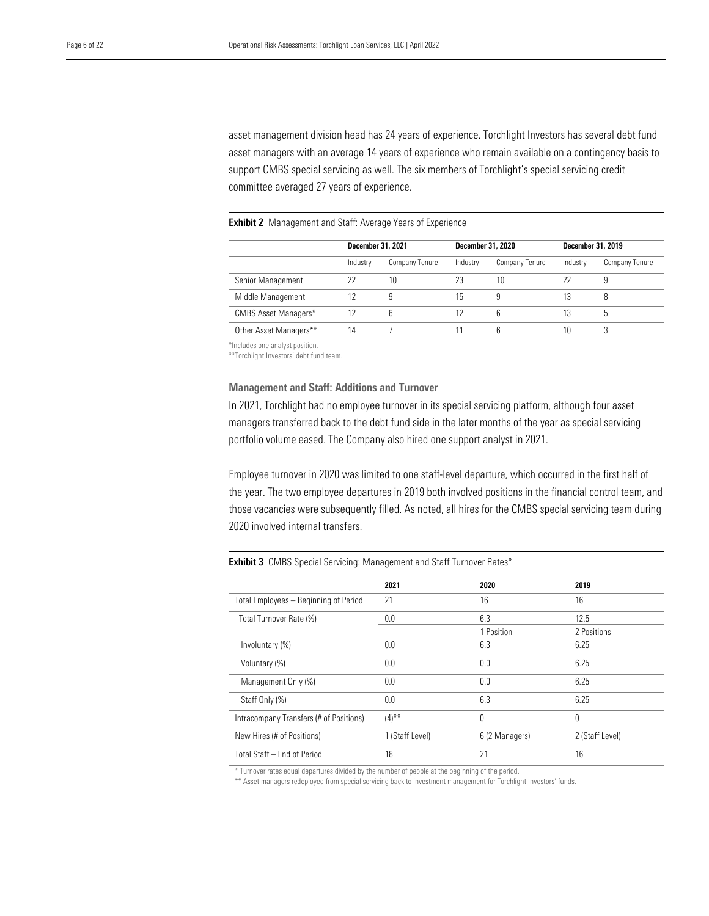asset management division head has 24 years of experience. Torchlight Investors has several debt fund asset managers with an average 14 years of experience who remain available on a contingency basis to support CMBS special servicing as well. The six members of Torchlight's special servicing credit committee averaged 27 years of experience.

#### **Exhibit 2** Management and Staff: Average Years of Experience

|                             | <b>December 31, 2021</b> |                | <b>December 31, 2020</b> |                | December 31, 2019 |                |  |
|-----------------------------|--------------------------|----------------|--------------------------|----------------|-------------------|----------------|--|
|                             | Industry                 | Company Tenure | Industry                 | Company Tenure | Industry          | Company Tenure |  |
| Senior Management           | 22                       | 10             | 23                       | 10             | 22                |                |  |
| Middle Management           | 12                       | 9              | 15                       |                | 13                |                |  |
| <b>CMBS Asset Managers*</b> | 12                       | h              |                          | h              | 13                |                |  |
| Other Asset Managers**      | 14                       |                |                          | h              | 10                |                |  |

\*Includes one analyst position.

\*\*Torchlight Investors' debt fund team.

#### Management and Staff: Additions and Turnover

In 2021, Torchlight had no employee turnover in its special servicing platform, although four asset managers transferred back to the debt fund side in the later months of the year as special servicing portfolio volume eased. The Company also hired one support analyst in 2021.

Employee turnover in 2020 was limited to one staff-level departure, which occurred in the first half of the year. The two employee departures in 2019 both involved positions in the financial control team, and those vacancies were subsequently filled. As noted, all hires for the CMBS special servicing team during 2020 involved internal transfers.

#### Exhibit 3 CMBS Special Servicing: Management and Staff Turnover Rates\*

|                                         | 2021            | 2020           | 2019            |  |
|-----------------------------------------|-----------------|----------------|-----------------|--|
| Total Employees - Beginning of Period   | 21              | 16             | 16              |  |
| Total Turnover Rate (%)                 | 0.0             | 6.3            | 12.5            |  |
|                                         |                 | 1 Position     | 2 Positions     |  |
| Involuntary (%)                         | 0.0             | 6.3            | 6.25            |  |
| Voluntary (%)                           | 0.0             | 0.0            | 6.25            |  |
| Management Only (%)                     | 0.0             | 0.0            | 6.25            |  |
| Staff Only (%)                          | 0.0             | 6.3            | 6.25            |  |
| Intracompany Transfers (# of Positions) | $(4)$ **        | 0              | 0               |  |
| New Hires (# of Positions)              | 1 (Staff Level) | 6 (2 Managers) | 2 (Staff Level) |  |
| Total Staff - End of Period             | 18              | 21             | 16              |  |
|                                         |                 |                |                 |  |

\* Turnover rates equal departures divided by the number of people at the beginning of the period.

\*\* Asset managers redeployed from special servicing back to investment management for Torchlight Investors' funds.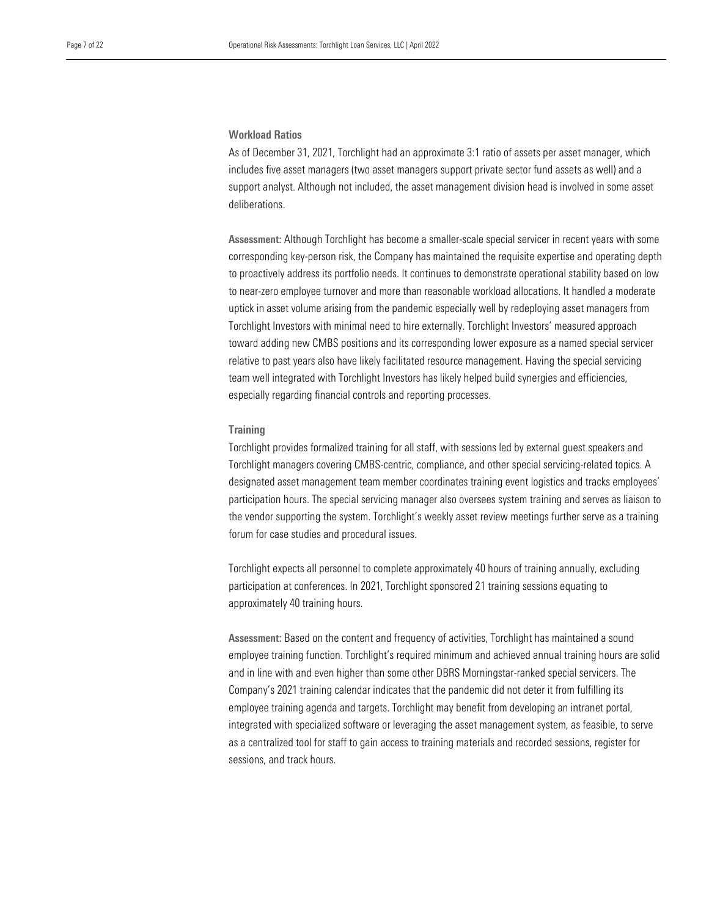#### Workload Ratios

As of December 31, 2021, Torchlight had an approximate 3:1 ratio of assets per asset manager, which includes five asset managers (two asset managers support private sector fund assets as well) and a support analyst. Although not included, the asset management division head is involved in some asset deliberations.

Assessment: Although Torchlight has become a smaller-scale special servicer in recent years with some corresponding key-person risk, the Company has maintained the requisite expertise and operating depth to proactively address its portfolio needs. It continues to demonstrate operational stability based on low to near-zero employee turnover and more than reasonable workload allocations. It handled a moderate uptick in asset volume arising from the pandemic especially well by redeploying asset managers from Torchlight Investors with minimal need to hire externally. Torchlight Investors' measured approach toward adding new CMBS positions and its corresponding lower exposure as a named special servicer relative to past years also have likely facilitated resource management. Having the special servicing team well integrated with Torchlight Investors has likely helped build synergies and efficiencies, especially regarding financial controls and reporting processes.

#### **Training**

Torchlight provides formalized training for all staff, with sessions led by external guest speakers and Torchlight managers covering CMBS-centric, compliance, and other special servicing-related topics. A designated asset management team member coordinates training event logistics and tracks employees' participation hours. The special servicing manager also oversees system training and serves as liaison to the vendor supporting the system. Torchlight's weekly asset review meetings further serve as a training forum for case studies and procedural issues.

Torchlight expects all personnel to complete approximately 40 hours of training annually, excluding participation at conferences. In 2021, Torchlight sponsored 21 training sessions equating to approximately 40 training hours.

Assessment: Based on the content and frequency of activities, Torchlight has maintained a sound employee training function. Torchlight's required minimum and achieved annual training hours are solid and in line with and even higher than some other DBRS Morningstar-ranked special servicers. The Company's 2021 training calendar indicates that the pandemic did not deter it from fulfilling its employee training agenda and targets. Torchlight may benefit from developing an intranet portal, integrated with specialized software or leveraging the asset management system, as feasible, to serve as a centralized tool for staff to gain access to training materials and recorded sessions, register for sessions, and track hours.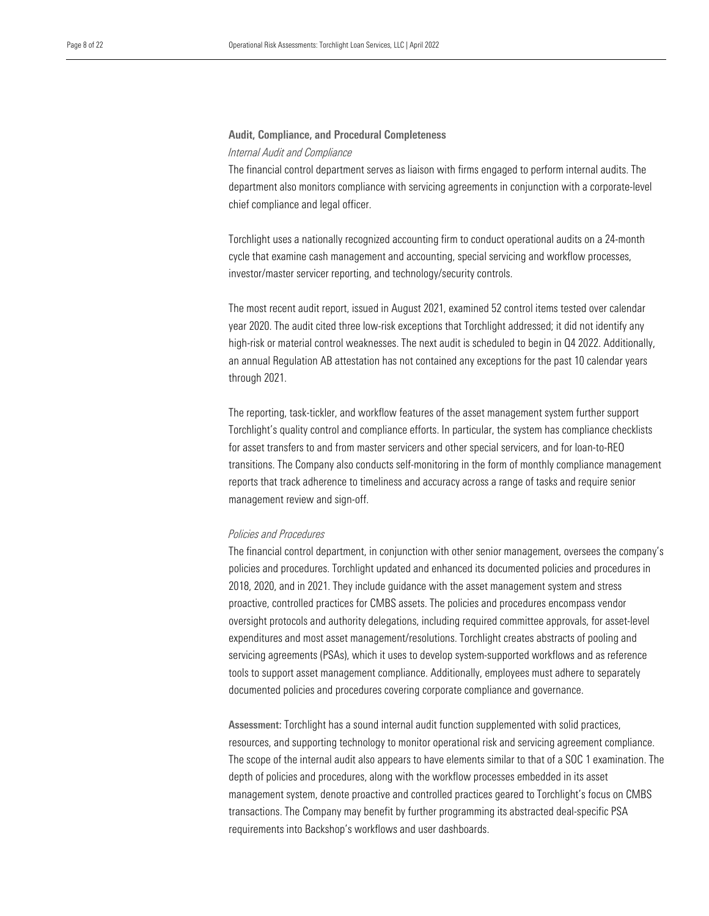#### Audit, Compliance, and Procedural Completeness *Internal Audit and Compliance*

The financial control department serves as liaison with firms engaged to perform internal audits. The department also monitors compliance with servicing agreements in conjunction with a corporate-level chief compliance and legal officer.

Torchlight uses a nationally recognized accounting firm to conduct operational audits on a 24-month cycle that examine cash management and accounting, special servicing and workflow processes, investor/master servicer reporting, and technology/security controls.

The most recent audit report, issued in August 2021, examined 52 control items tested over calendar year 2020. The audit cited three low-risk exceptions that Torchlight addressed; it did not identify any high-risk or material control weaknesses. The next audit is scheduled to begin in Q4 2022. Additionally, an annual Regulation AB attestation has not contained any exceptions for the past 10 calendar years through 2021.

The reporting, task-tickler, and workflow features of the asset management system further support Torchlight's quality control and compliance efforts. In particular, the system has compliance checklists for asset transfers to and from master servicers and other special servicers, and for loan-to-REO transitions. The Company also conducts self-monitoring in the form of monthly compliance management reports that track adherence to timeliness and accuracy across a range of tasks and require senior management review and sign-off.

#### *Policies and Procedures*

The financial control department, in conjunction with other senior management, oversees the company's policies and procedures. Torchlight updated and enhanced its documented policies and procedures in 2018, 2020, and in 2021. They include guidance with the asset management system and stress proactive, controlled practices for CMBS assets. The policies and procedures encompass vendor oversight protocols and authority delegations, including required committee approvals, for asset-level expenditures and most asset management/resolutions. Torchlight creates abstracts of pooling and servicing agreements (PSAs), which it uses to develop system-supported workflows and as reference tools to support asset management compliance. Additionally, employees must adhere to separately documented policies and procedures covering corporate compliance and governance.

Assessment: Torchlight has a sound internal audit function supplemented with solid practices, resources, and supporting technology to monitor operational risk and servicing agreement compliance. The scope of the internal audit also appears to have elements similar to that of a SOC 1 examination. The depth of policies and procedures, along with the workflow processes embedded in its asset management system, denote proactive and controlled practices geared to Torchlight's focus on CMBS transactions. The Company may benefit by further programming its abstracted deal-specific PSA requirements into Backshop's workflows and user dashboards.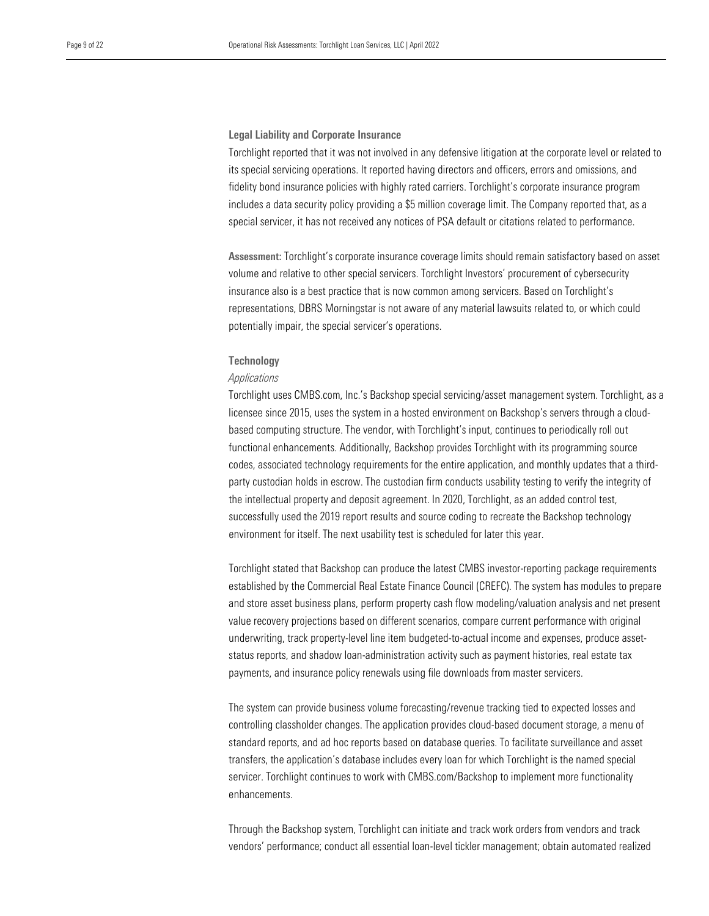#### Legal Liability and Corporate Insurance

Torchlight reported that it was not involved in any defensive litigation at the corporate level or related to its special servicing operations. It reported having directors and officers, errors and omissions, and fidelity bond insurance policies with highly rated carriers. Torchlight's corporate insurance program includes a data security policy providing a \$5 million coverage limit. The Company reported that, as a special servicer, it has not received any notices of PSA default or citations related to performance.

Assessment: Torchlight's corporate insurance coverage limits should remain satisfactory based on asset volume and relative to other special servicers. Torchlight Investors' procurement of cybersecurity insurance also is a best practice that is now common among servicers. Based on Torchlight's representations, DBRS Morningstar is not aware of any material lawsuits related to, or which could potentially impair, the special servicer's operations.

#### **Technology**

#### *Applications*

Torchlight uses CMBS.com, Inc.'s Backshop special servicing/asset management system. Torchlight, as a licensee since 2015, uses the system in a hosted environment on Backshop's servers through a cloudbased computing structure. The vendor, with Torchlight's input, continues to periodically roll out functional enhancements. Additionally, Backshop provides Torchlight with its programming source codes, associated technology requirements for the entire application, and monthly updates that a thirdparty custodian holds in escrow. The custodian firm conducts usability testing to verify the integrity of the intellectual property and deposit agreement. In 2020, Torchlight, as an added control test, successfully used the 2019 report results and source coding to recreate the Backshop technology environment for itself. The next usability test is scheduled for later this year.

Torchlight stated that Backshop can produce the latest CMBS investor-reporting package requirements established by the Commercial Real Estate Finance Council (CREFC). The system has modules to prepare and store asset business plans, perform property cash flow modeling/valuation analysis and net present value recovery projections based on different scenarios, compare current performance with original underwriting, track property-level line item budgeted-to-actual income and expenses, produce assetstatus reports, and shadow loan-administration activity such as payment histories, real estate tax payments, and insurance policy renewals using file downloads from master servicers.

The system can provide business volume forecasting/revenue tracking tied to expected losses and controlling classholder changes. The application provides cloud-based document storage, a menu of standard reports, and ad hoc reports based on database queries. To facilitate surveillance and asset transfers, the application's database includes every loan for which Torchlight is the named special servicer. Torchlight continues to work with CMBS.com/Backshop to implement more functionality enhancements.

Through the Backshop system, Torchlight can initiate and track work orders from vendors and track vendors' performance; conduct all essential loan-level tickler management; obtain automated realized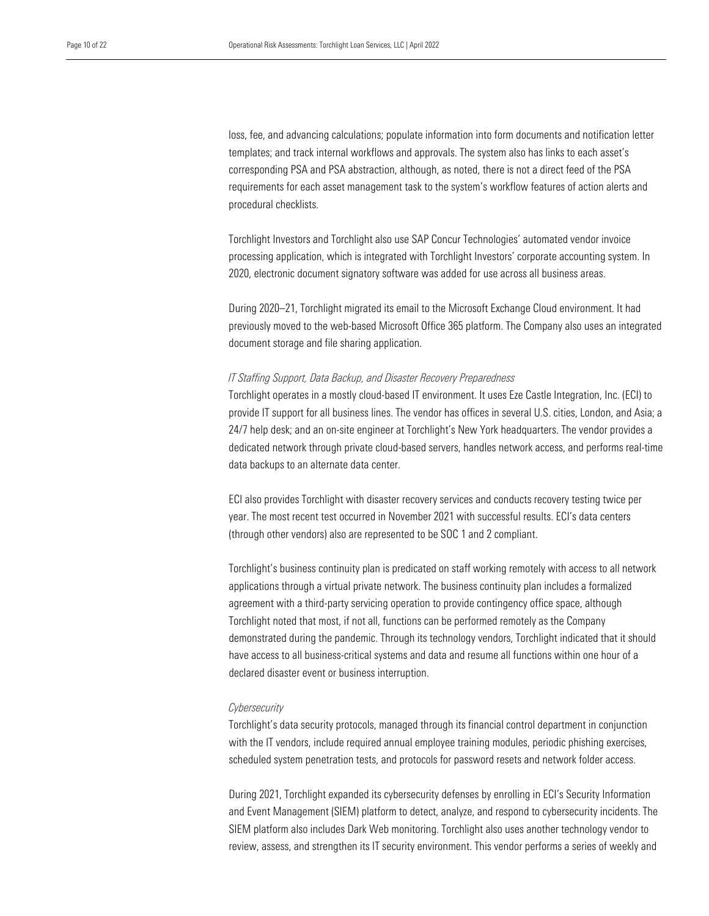loss, fee, and advancing calculations; populate information into form documents and notification letter templates; and track internal workflows and approvals. The system also has links to each asset's corresponding PSA and PSA abstraction, although, as noted, there is not a direct feed of the PSA requirements for each asset management task to the system's workflow features of action alerts and procedural checklists.

Torchlight Investors and Torchlight also use SAP Concur Technologies' automated vendor invoice processing application, which is integrated with Torchlight Investors' corporate accounting system. In 2020, electronic document signatory software was added for use across all business areas.

During 2020–21, Torchlight migrated its email to the Microsoft Exchange Cloud environment. It had previously moved to the web-based Microsoft Office 365 platform. The Company also uses an integrated document storage and file sharing application.

#### *IT Staffing Support, Data Backup, and Disaster Recovery Preparedness*

Torchlight operates in a mostly cloud-based IT environment. It uses Eze Castle Integration, Inc. (ECI) to provide IT support for all business lines. The vendor has offices in several U.S. cities, London, and Asia; a 24/7 help desk; and an on-site engineer at Torchlight's New York headquarters. The vendor provides a dedicated network through private cloud-based servers, handles network access, and performs real-time data backups to an alternate data center.

ECI also provides Torchlight with disaster recovery services and conducts recovery testing twice per year. The most recent test occurred in November 2021 with successful results. ECI's data centers (through other vendors) also are represented to be SOC 1 and 2 compliant.

Torchlight's business continuity plan is predicated on staff working remotely with access to all network applications through a virtual private network. The business continuity plan includes a formalized agreement with a third-party servicing operation to provide contingency office space, although Torchlight noted that most, if not all, functions can be performed remotely as the Company demonstrated during the pandemic. Through its technology vendors, Torchlight indicated that it should have access to all business-critical systems and data and resume all functions within one hour of a declared disaster event or business interruption.

#### *Cybersecurity*

Torchlight's data security protocols, managed through its financial control department in conjunction with the IT vendors, include required annual employee training modules, periodic phishing exercises, scheduled system penetration tests, and protocols for password resets and network folder access.

During 2021, Torchlight expanded its cybersecurity defenses by enrolling in ECI's Security Information and Event Management (SIEM) platform to detect, analyze, and respond to cybersecurity incidents. The SIEM platform also includes Dark Web monitoring. Torchlight also uses another technology vendor to review, assess, and strengthen its IT security environment. This vendor performs a series of weekly and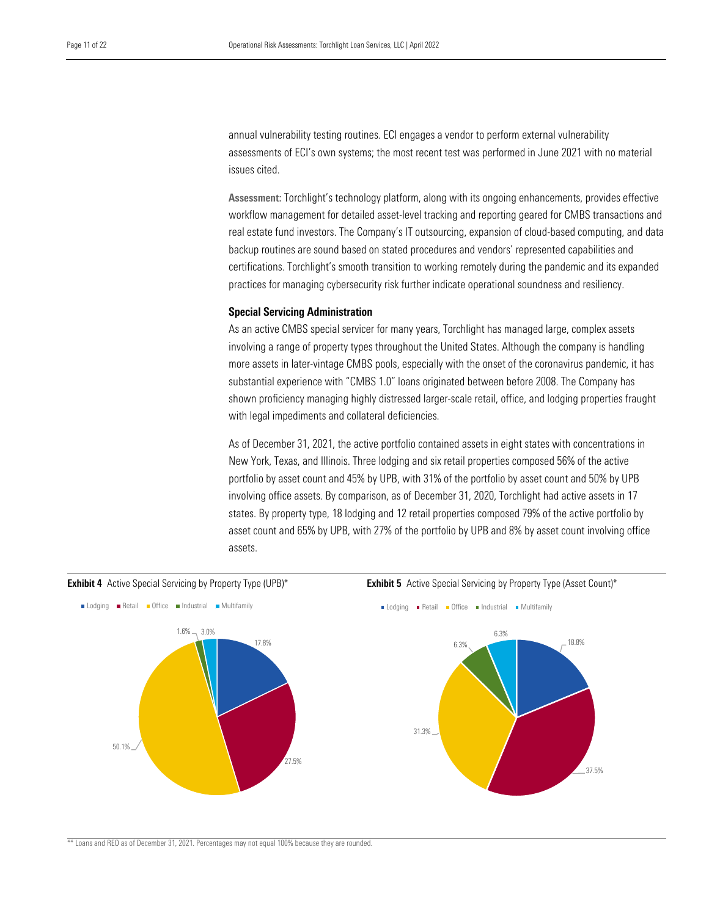annual vulnerability testing routines. ECI engages a vendor to perform external vulnerability assessments of ECI's own systems; the most recent test was performed in June 2021 with no material issues cited.

Assessment: Torchlight's technology platform, along with its ongoing enhancements, provides effective workflow management for detailed asset-level tracking and reporting geared for CMBS transactions and real estate fund investors. The Company's IT outsourcing, expansion of cloud-based computing, and data backup routines are sound based on stated procedures and vendors' represented capabilities and certifications. Torchlight's smooth transition to working remotely during the pandemic and its expanded practices for managing cybersecurity risk further indicate operational soundness and resiliency.

#### Special Servicing Administration

As an active CMBS special servicer for many years, Torchlight has managed large, complex assets involving a range of property types throughout the United States. Although the company is handling more assets in later-vintage CMBS pools, especially with the onset of the coronavirus pandemic, it has substantial experience with "CMBS 1.0" loans originated between before 2008. The Company has shown proficiency managing highly distressed larger-scale retail, office, and lodging properties fraught with legal impediments and collateral deficiencies.

As of December 31, 2021, the active portfolio contained assets in eight states with concentrations in New York, Texas, and Illinois. Three lodging and six retail properties composed 56% of the active portfolio by asset count and 45% by UPB, with 31% of the portfolio by asset count and 50% by UPB involving office assets. By comparison, as of December 31, 2020, Torchlight had active assets in 17 states. By property type, 18 lodging and 12 retail properties composed 79% of the active portfolio by asset count and 65% by UPB, with 27% of the portfolio by UPB and 8% by asset count involving office assets.



\*\* Loans and REO as of December 31, 2021. Percentages may not equal 100% because they are rounded.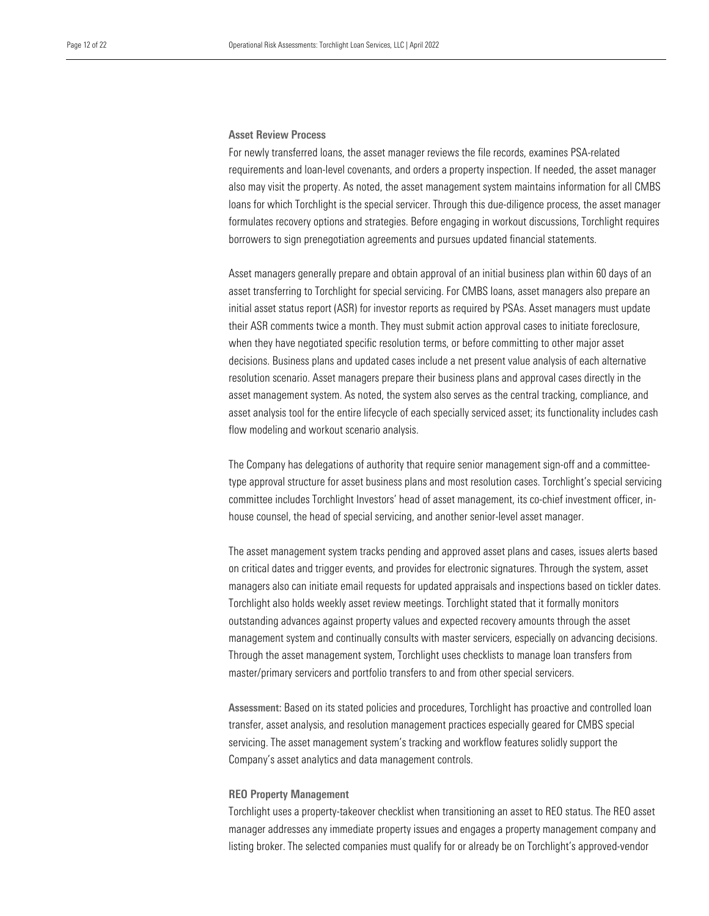#### Asset Review Process

For newly transferred loans, the asset manager reviews the file records, examines PSA-related requirements and loan-level covenants, and orders a property inspection. If needed, the asset manager also may visit the property. As noted, the asset management system maintains information for all CMBS loans for which Torchlight is the special servicer. Through this due-diligence process, the asset manager formulates recovery options and strategies. Before engaging in workout discussions, Torchlight requires borrowers to sign prenegotiation agreements and pursues updated financial statements.

Asset managers generally prepare and obtain approval of an initial business plan within 60 days of an asset transferring to Torchlight for special servicing. For CMBS loans, asset managers also prepare an initial asset status report (ASR) for investor reports as required by PSAs. Asset managers must update their ASR comments twice a month. They must submit action approval cases to initiate foreclosure, when they have negotiated specific resolution terms, or before committing to other major asset decisions. Business plans and updated cases include a net present value analysis of each alternative resolution scenario. Asset managers prepare their business plans and approval cases directly in the asset management system. As noted, the system also serves as the central tracking, compliance, and asset analysis tool for the entire lifecycle of each specially serviced asset; its functionality includes cash flow modeling and workout scenario analysis.

The Company has delegations of authority that require senior management sign-off and a committeetype approval structure for asset business plans and most resolution cases. Torchlight's special servicing committee includes Torchlight Investors' head of asset management, its co-chief investment officer, inhouse counsel, the head of special servicing, and another senior-level asset manager.

The asset management system tracks pending and approved asset plans and cases, issues alerts based on critical dates and trigger events, and provides for electronic signatures. Through the system, asset managers also can initiate email requests for updated appraisals and inspections based on tickler dates. Torchlight also holds weekly asset review meetings. Torchlight stated that it formally monitors outstanding advances against property values and expected recovery amounts through the asset management system and continually consults with master servicers, especially on advancing decisions. Through the asset management system, Torchlight uses checklists to manage loan transfers from master/primary servicers and portfolio transfers to and from other special servicers.

Assessment: Based on its stated policies and procedures, Torchlight has proactive and controlled loan transfer, asset analysis, and resolution management practices especially geared for CMBS special servicing. The asset management system's tracking and workflow features solidly support the Company's asset analytics and data management controls.

#### REO Property Management

Torchlight uses a property-takeover checklist when transitioning an asset to REO status. The REO asset manager addresses any immediate property issues and engages a property management company and listing broker. The selected companies must qualify for or already be on Torchlight's approved-vendor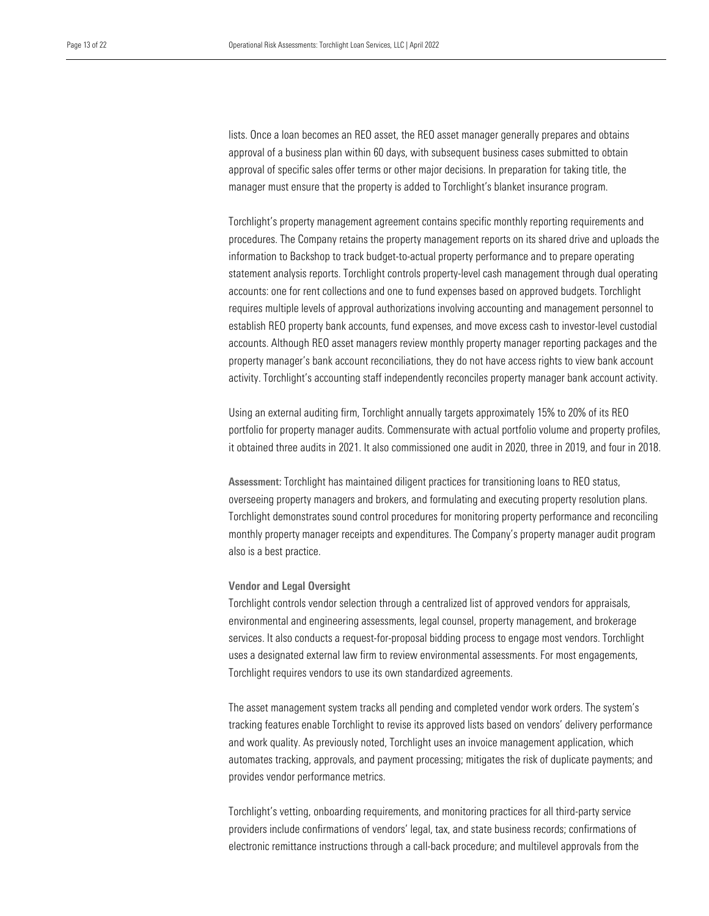lists. Once a loan becomes an REO asset, the REO asset manager generally prepares and obtains approval of a business plan within 60 days, with subsequent business cases submitted to obtain approval of specific sales offer terms or other major decisions. In preparation for taking title, the manager must ensure that the property is added to Torchlight's blanket insurance program.

Torchlight's property management agreement contains specific monthly reporting requirements and procedures. The Company retains the property management reports on its shared drive and uploads the information to Backshop to track budget-to-actual property performance and to prepare operating statement analysis reports. Torchlight controls property-level cash management through dual operating accounts: one for rent collections and one to fund expenses based on approved budgets. Torchlight requires multiple levels of approval authorizations involving accounting and management personnel to establish REO property bank accounts, fund expenses, and move excess cash to investor-level custodial accounts. Although REO asset managers review monthly property manager reporting packages and the property manager's bank account reconciliations, they do not have access rights to view bank account activity. Torchlight's accounting staff independently reconciles property manager bank account activity.

Using an external auditing firm, Torchlight annually targets approximately 15% to 20% of its REO portfolio for property manager audits. Commensurate with actual portfolio volume and property profiles, it obtained three audits in 2021. It also commissioned one audit in 2020, three in 2019, and four in 2018.

Assessment: Torchlight has maintained diligent practices for transitioning loans to REO status, overseeing property managers and brokers, and formulating and executing property resolution plans. Torchlight demonstrates sound control procedures for monitoring property performance and reconciling monthly property manager receipts and expenditures. The Company's property manager audit program also is a best practice.

#### Vendor and Legal Oversight

Torchlight controls vendor selection through a centralized list of approved vendors for appraisals, environmental and engineering assessments, legal counsel, property management, and brokerage services. It also conducts a request-for-proposal bidding process to engage most vendors. Torchlight uses a designated external law firm to review environmental assessments. For most engagements, Torchlight requires vendors to use its own standardized agreements.

The asset management system tracks all pending and completed vendor work orders. The system's tracking features enable Torchlight to revise its approved lists based on vendors' delivery performance and work quality. As previously noted, Torchlight uses an invoice management application, which automates tracking, approvals, and payment processing; mitigates the risk of duplicate payments; and provides vendor performance metrics.

Torchlight's vetting, onboarding requirements, and monitoring practices for all third-party service providers include confirmations of vendors' legal, tax, and state business records; confirmations of electronic remittance instructions through a call-back procedure; and multilevel approvals from the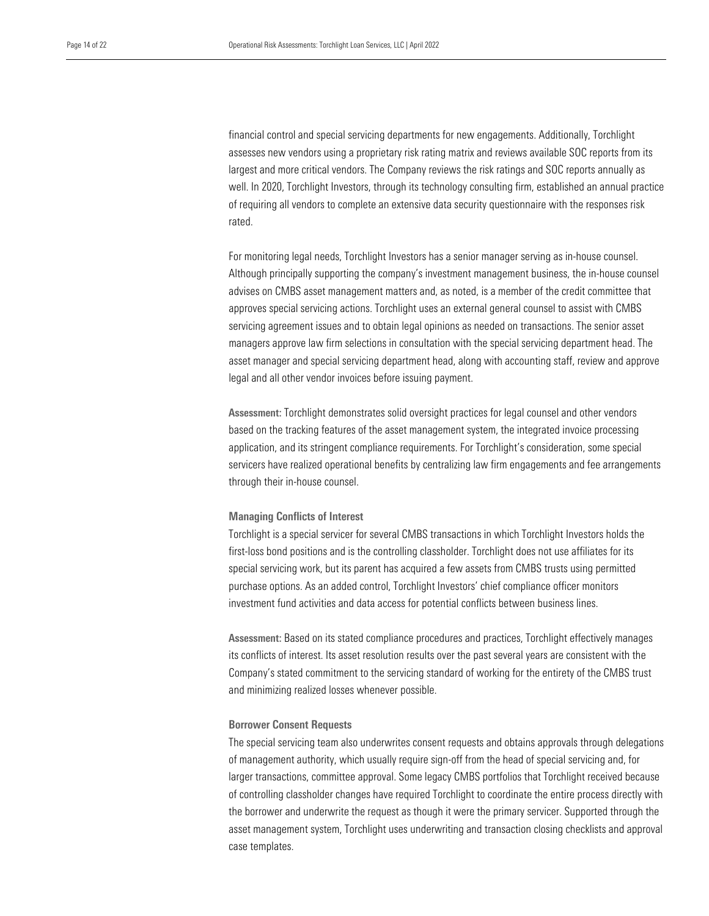financial control and special servicing departments for new engagements. Additionally, Torchlight assesses new vendors using a proprietary risk rating matrix and reviews available SOC reports from its largest and more critical vendors. The Company reviews the risk ratings and SOC reports annually as well. In 2020, Torchlight Investors, through its technology consulting firm, established an annual practice of requiring all vendors to complete an extensive data security questionnaire with the responses risk rated.

For monitoring legal needs, Torchlight Investors has a senior manager serving as in-house counsel. Although principally supporting the company's investment management business, the in-house counsel advises on CMBS asset management matters and, as noted, is a member of the credit committee that approves special servicing actions. Torchlight uses an external general counsel to assist with CMBS servicing agreement issues and to obtain legal opinions as needed on transactions. The senior asset managers approve law firm selections in consultation with the special servicing department head. The asset manager and special servicing department head, along with accounting staff, review and approve legal and all other vendor invoices before issuing payment.

Assessment: Torchlight demonstrates solid oversight practices for legal counsel and other vendors based on the tracking features of the asset management system, the integrated invoice processing application, and its stringent compliance requirements. For Torchlight's consideration, some special servicers have realized operational benefits by centralizing law firm engagements and fee arrangements through their in-house counsel.

#### Managing Conflicts of Interest

Torchlight is a special servicer for several CMBS transactions in which Torchlight Investors holds the first-loss bond positions and is the controlling classholder. Torchlight does not use affiliates for its special servicing work, but its parent has acquired a few assets from CMBS trusts using permitted purchase options. As an added control, Torchlight Investors' chief compliance officer monitors investment fund activities and data access for potential conflicts between business lines.

Assessment: Based on its stated compliance procedures and practices, Torchlight effectively manages its conflicts of interest. Its asset resolution results over the past several years are consistent with the Company's stated commitment to the servicing standard of working for the entirety of the CMBS trust and minimizing realized losses whenever possible.

#### Borrower Consent Requests

The special servicing team also underwrites consent requests and obtains approvals through delegations of management authority, which usually require sign-off from the head of special servicing and, for larger transactions, committee approval. Some legacy CMBS portfolios that Torchlight received because of controlling classholder changes have required Torchlight to coordinate the entire process directly with the borrower and underwrite the request as though it were the primary servicer. Supported through the asset management system, Torchlight uses underwriting and transaction closing checklists and approval case templates.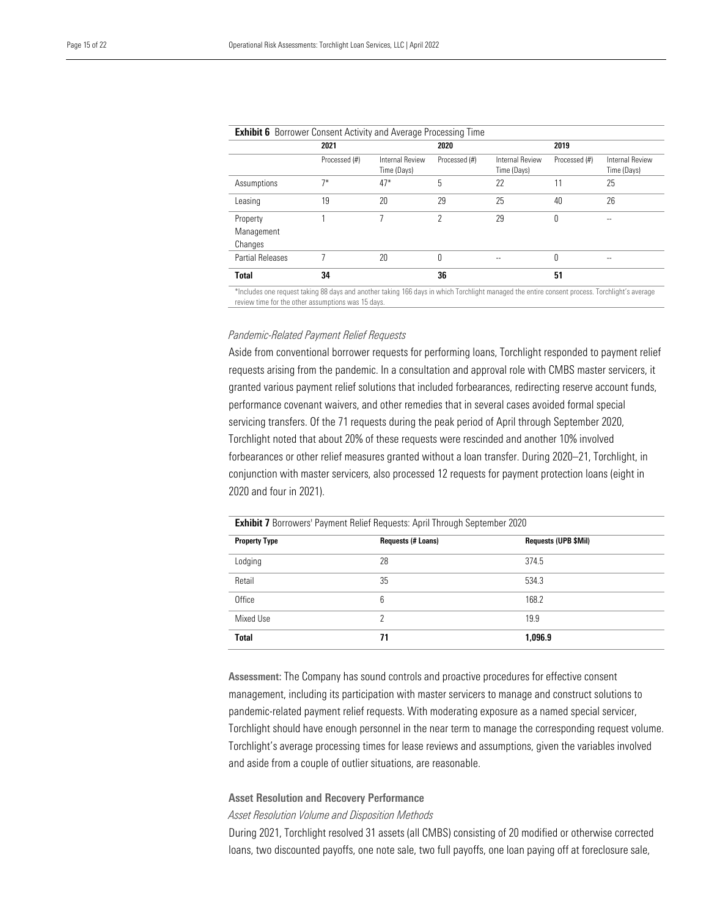| <b>Exhibit 6</b> Borrower Consent Activity and Average Processing Time |               |                                |               |                                       |               |                                       |
|------------------------------------------------------------------------|---------------|--------------------------------|---------------|---------------------------------------|---------------|---------------------------------------|
|                                                                        | 2021          |                                | 2020          |                                       | 2019          |                                       |
|                                                                        | Processed (#) | Internal Review<br>Time (Days) | Processed (#) | <b>Internal Review</b><br>Time (Days) | Processed (#) | <b>Internal Review</b><br>Time (Days) |
| Assumptions                                                            | $7*$          | $47*$                          | 5             | 22                                    | 11            | 25                                    |
| Leasing                                                                | 19            | 20                             | 29            | 25                                    | 40            | 26                                    |
| Property<br>Management<br>Changes                                      |               |                                | 2             | 29                                    | 0             | --                                    |
| <b>Partial Releases</b>                                                |               | 20                             | 0             |                                       |               | --                                    |
| <b>Total</b>                                                           | 34            |                                | 36            |                                       | 51            |                                       |

\*Includes one request taking 88 days and another taking 166 days in which Torchlight managed the entire consent process. Torchlight's average review time for the other assumptions was 15 days.

#### *Pandemic-Related Payment Relief Requests*

Aside from conventional borrower requests for performing loans, Torchlight responded to payment relief requests arising from the pandemic. In a consultation and approval role with CMBS master servicers, it granted various payment relief solutions that included forbearances, redirecting reserve account funds, performance covenant waivers, and other remedies that in several cases avoided formal special servicing transfers. Of the 71 requests during the peak period of April through September 2020, Torchlight noted that about 20% of these requests were rescinded and another 10% involved forbearances or other relief measures granted without a loan transfer. During 2020–21, Torchlight, in conjunction with master servicers, also processed 12 requests for payment protection loans (eight in 2020 and four in 2021).

| <b>EXIMPLE 7</b> DUITOWERS FRAMMENT DENET DEQUESTS. ADMITTING QUI SEPTEMBER 2020 |                    |                             |  |  |  |  |  |
|----------------------------------------------------------------------------------|--------------------|-----------------------------|--|--|--|--|--|
| <b>Property Type</b>                                                             | Requests (# Loans) | <b>Requests (UPB \$Mil)</b> |  |  |  |  |  |
| Lodging                                                                          | 28                 | 374.5                       |  |  |  |  |  |
| Retail                                                                           | 35                 | 534.3                       |  |  |  |  |  |
| Office                                                                           | 6                  | 168.2                       |  |  |  |  |  |
| Mixed Use                                                                        | 2                  | 19.9                        |  |  |  |  |  |
| <b>Total</b>                                                                     | 71                 | 1,096.9                     |  |  |  |  |  |

Exhibit 7 Borrowers' Payment Relief Requests: April Through September 2020

Assessment: The Company has sound controls and proactive procedures for effective consent management, including its participation with master servicers to manage and construct solutions to pandemic-related payment relief requests. With moderating exposure as a named special servicer, Torchlight should have enough personnel in the near term to manage the corresponding request volume. Torchlight's average processing times for lease reviews and assumptions, given the variables involved and aside from a couple of outlier situations, are reasonable.

#### Asset Resolution and Recovery Performance

*Asset Resolution Volume and Disposition Methods*

During 2021, Torchlight resolved 31 assets (all CMBS) consisting of 20 modified or otherwise corrected loans, two discounted payoffs, one note sale, two full payoffs, one loan paying off at foreclosure sale,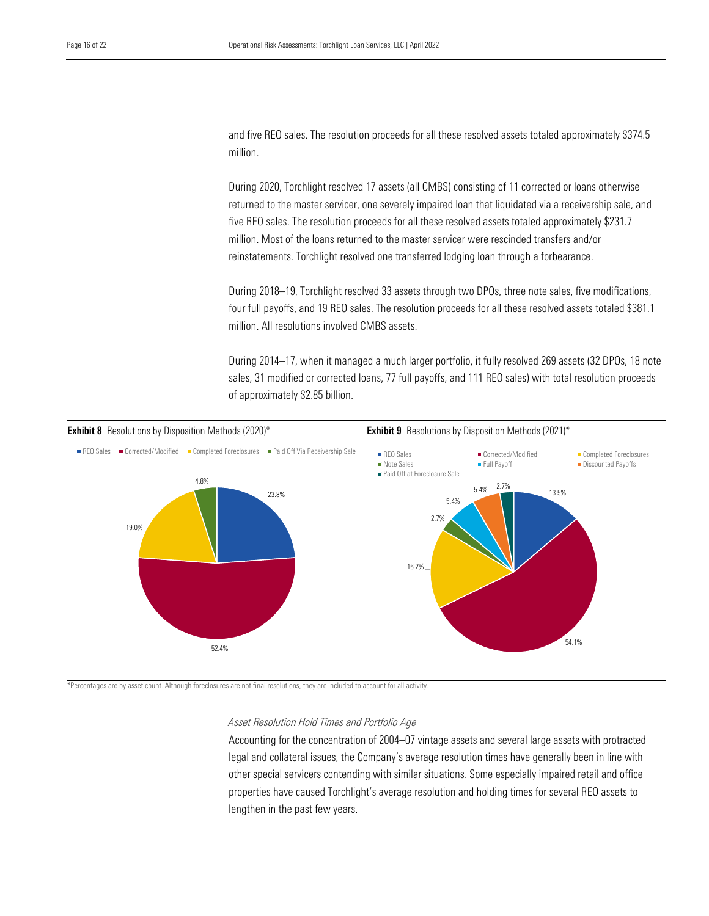and five REO sales. The resolution proceeds for all these resolved assets totaled approximately \$374.5 million.

During 2020, Torchlight resolved 17 assets (all CMBS) consisting of 11 corrected or loans otherwise returned to the master servicer, one severely impaired loan that liquidated via a receivership sale, and five REO sales. The resolution proceeds for all these resolved assets totaled approximately \$231.7 million. Most of the loans returned to the master servicer were rescinded transfers and/or reinstatements. Torchlight resolved one transferred lodging loan through a forbearance.

During 2018–19, Torchlight resolved 33 assets through two DPOs, three note sales, five modifications, four full payoffs, and 19 REO sales. The resolution proceeds for all these resolved assets totaled \$381.1 million. All resolutions involved CMBS assets.

During 2014–17, when it managed a much larger portfolio, it fully resolved 269 assets (32 DPOs, 18 note sales, 31 modified or corrected loans, 77 full payoffs, and 111 REO sales) with total resolution proceeds of approximately \$2.85 billion.



\*Percentages are by asset count. Although foreclosures are not final resolutions, they are included to account for all activity.

#### *Asset Resolution Hold Times and Portfolio Age*

Accounting for the concentration of 2004–07 vintage assets and several large assets with protracted legal and collateral issues, the Company's average resolution times have generally been in line with other special servicers contending with similar situations. Some especially impaired retail and office properties have caused Torchlight's average resolution and holding times for several REO assets to lengthen in the past few years.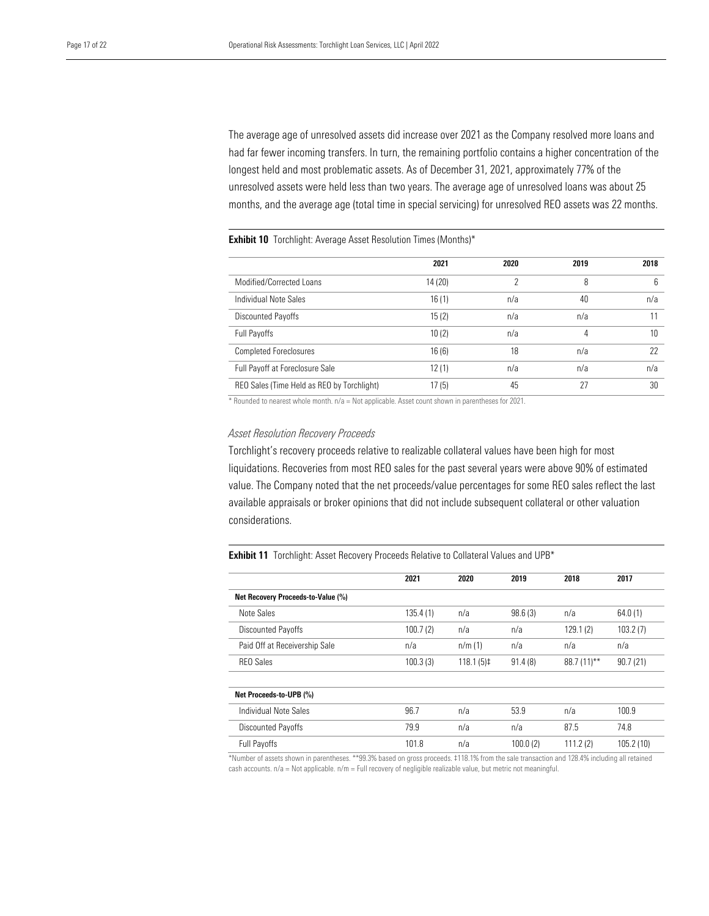The average age of unresolved assets did increase over 2021 as the Company resolved more loans and had far fewer incoming transfers. In turn, the remaining portfolio contains a higher concentration of the longest held and most problematic assets. As of December 31, 2021, approximately 77% of the unresolved assets were held less than two years. The average age of unresolved loans was about 25 months, and the average age (total time in special servicing) for unresolved REO assets was 22 months.

#### Exhibit 10 Torchlight: Average Asset Resolution Times (Months)\*

|                                            | 2021    | 2020 | 2019 | 2018 |
|--------------------------------------------|---------|------|------|------|
| Modified/Corrected Loans                   | 14 (20) | 7    | 8    | 6    |
| Individual Note Sales                      | 16(1)   | n/a  | 40   | n/a  |
| Discounted Payoffs                         | 15(2)   | n/a  | n/a  |      |
| <b>Full Payoffs</b>                        | 10(2)   | n/a  | 4    | 10   |
| <b>Completed Foreclosures</b>              | 16(6)   | 18   | n/a  | 22   |
| Full Payoff at Foreclosure Sale            | 12(1)   | n/a  | n/a  | n/a  |
| REO Sales (Time Held as REO by Torchlight) | 17(5)   | 45   | 27   | 30   |

\* Rounded to nearest whole month. n/a = Not applicable. Asset count shown in parentheses for 2021.

#### *Asset Resolution Recovery Proceeds*

Torchlight's recovery proceeds relative to realizable collateral values have been high for most liquidations. Recoveries from most REO sales for the past several years were above 90% of estimated value. The Company noted that the net proceeds/value percentages for some REO sales reflect the last available appraisals or broker opinions that did not include subsequent collateral or other valuation considerations.

Exhibit 11 Torchlight: Asset Recovery Proceeds Relative to Collateral Values and UPB\*

|                                    | 2021     | 2020         | 2019     | 2018        | 2017      |
|------------------------------------|----------|--------------|----------|-------------|-----------|
| Net Recovery Proceeds-to-Value (%) |          |              |          |             |           |
| Note Sales                         | 135.4(1) | n/a          | 98.6(3)  | n/a         | 64.0(1)   |
| Discounted Payoffs                 | 100.7(2) | n/a          | n/a      | 129.1(2)    | 103.2(7)  |
| Paid Off at Receivership Sale      | n/a      | n/m(1)       | n/a      | n/a         | n/a       |
| <b>REO Sales</b>                   | 100.3(3) | $118.1(5)$ ‡ | 91.4(8)  | 88.7 (11)** | 90.7(21)  |
|                                    |          |              |          |             |           |
| Net Proceeds-to-UPB (%)            |          |              |          |             |           |
| Individual Note Sales              | 96.7     | n/a          | 53.9     | n/a         | 100.9     |
| <b>Discounted Payoffs</b>          | 79.9     | n/a          | n/a      | 87.5        | 74.8      |
| <b>Full Payoffs</b>                | 101.8    | n/a          | 100.0(2) | 111.2(2)    | 105.2(10) |
|                                    |          |              |          |             |           |

\*Number of assets shown in parentheses. \*\*99.3% based on gross proceeds. ‡118.1% from the sale transaction and 128.4% including all retained cash accounts. n/a = Not applicable. n/m = Full recovery of negligible realizable value, but metric not meaningful.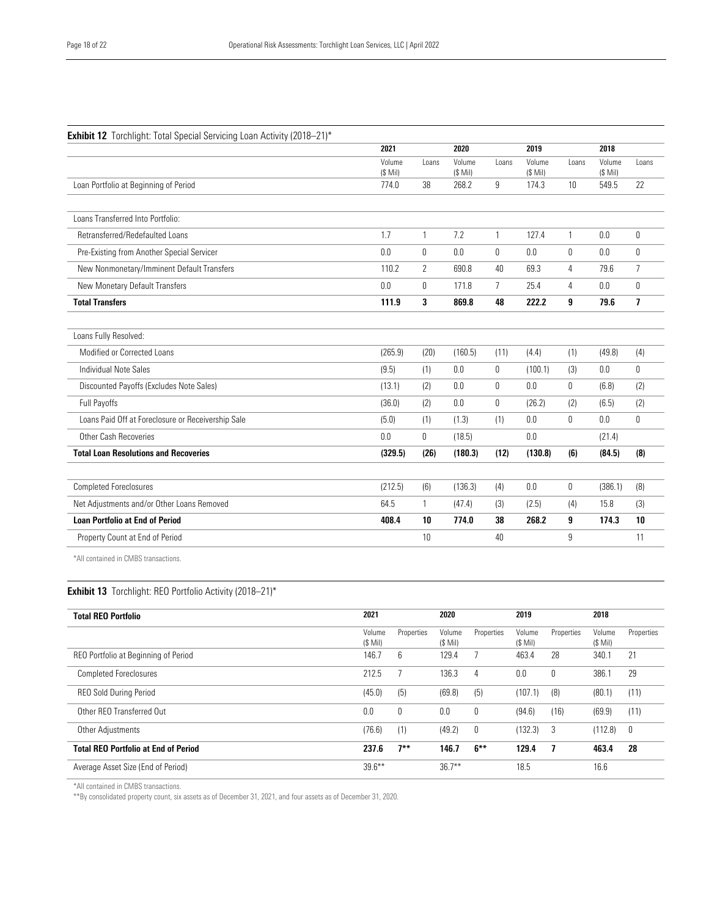| <b>Exhibit 12</b> Torchlight: Total Special Servicing Loan Activity (2018–21)* | 2021      |                | 2020      |                | 2019      |                 | 2018      |                |
|--------------------------------------------------------------------------------|-----------|----------------|-----------|----------------|-----------|-----------------|-----------|----------------|
|                                                                                | Volume    |                | Volume    | Loans          | Volume    |                 | Volume    | Loans          |
|                                                                                | $(S$ Mil) | Loans          | $(S$ Mil) |                | $(S$ Mil) | Loans           | $(S$ Mil) |                |
| Loan Portfolio at Beginning of Period                                          | 774.0     | 38             | 268.2     | 9              | 174.3     | 10 <sup>°</sup> | 549.5     | 22             |
| Loans Transferred Into Portfolio:                                              |           |                |           |                |           |                 |           |                |
| Retransferred/Redefaulted Loans                                                | 1.7       | $\mathbf{1}$   | 7.2       | 1              | 127.4     | $\mathbf{1}$    | 0.0       | 0              |
| Pre-Existing from Another Special Servicer                                     | 0.0       | $\theta$       | 0.0       | 0              | 0.0       | $\Omega$        | 0.0       | 0              |
| New Nonmonetary/Imminent Default Transfers                                     | 110.2     | $\overline{2}$ | 690.8     | 40             | 69.3      | 4               | 79.6      | $\overline{7}$ |
| New Monetary Default Transfers                                                 | 0.0       | $\theta$       | 171.8     | $\overline{7}$ | 25.4      | 4               | 0.0       | 0              |
| <b>Total Transfers</b>                                                         | 111.9     | 3              | 869.8     | 48             | 222.2     | 9               | 79.6      | $\overline{1}$ |
| Loans Fully Resolved:                                                          |           |                |           |                |           |                 |           |                |
| Modified or Corrected Loans                                                    | (265.9)   | (20)           | (160.5)   | (11)           | (4.4)     | (1)             | (49.8)    | (4)            |
| Individual Note Sales                                                          | (9.5)     | (1)            | 0.0       | 0              | (100.1)   | (3)             | 0.0       | 0              |
| Discounted Payoffs (Excludes Note Sales)                                       | (13.1)    | (2)            | 0.0       | 0              | 0.0       | 0               | (6.8)     | (2)            |
| Full Payoffs                                                                   | (36.0)    | (2)            | 0.0       | 0              | (26.2)    | (2)             | (6.5)     | (2)            |
| Loans Paid Off at Foreclosure or Receivership Sale                             | (5.0)     | (1)            | (1.3)     | (1)            | 0.0       | $\Omega$        | 0.0       | 0              |
| Other Cash Recoveries                                                          | 0.0       | $\mathbf 0$    | (18.5)    |                | $0.0\,$   |                 | (21.4)    |                |
| <b>Total Loan Resolutions and Recoveries</b>                                   | (329.5)   | (26)           | (180.3)   | (12)           | (130.8)   | (6)             | (84.5)    | (8)            |
| <b>Completed Foreclosures</b>                                                  | (212.5)   | (6)            | (136.3)   | (4)            | 0.0       | 0               | (386.1)   | (8)            |
| Net Adjustments and/or Other Loans Removed                                     | 64.5      | $\mathbf{1}$   | (47.4)    | (3)            | (2.5)     | (4)             | 15.8      | (3)            |
| <b>Loan Portfolio at End of Period</b>                                         | 408.4     | 10             | 774.0     | 38             | 268.2     | 9               | 174.3     | 10             |
| Property Count at End of Period                                                |           | 10             |           | 40             |           | 9               |           | 11             |

\*All contained in CMBS transactions.

#### Exhibit 13 Torchlight: REO Portfolio Activity (2018-21)\*

| <b>Total REO Portfolio</b>                  | 2021                |              | 2020                |            | 2019                |            | 2018                |            |
|---------------------------------------------|---------------------|--------------|---------------------|------------|---------------------|------------|---------------------|------------|
|                                             | Volume<br>$(S$ Mil) | Properties   | Volume<br>$(S$ Mil) | Properties | Volume<br>$(S$ Mil) | Properties | Volume<br>$(S$ Mil) | Properties |
| REO Portfolio at Beginning of Period        | 146.7               | 6            | 129.4               |            | 463.4               | 28         | 340.1               | 21         |
| <b>Completed Foreclosures</b>               | 212.5               |              | 136.3               | 4          | 0.0                 |            | 386.1               | 29         |
| <b>REO Sold During Period</b>               | (45.0)              | (5)          | (69.8)              | (5)        | (107.1)             | (8)        | (80.1)              | (11)       |
| Other RFO Transferred Out                   | 0.0                 | $\mathbf{0}$ | 0.0                 | $\theta$   | (94.6)              | (16)       | (69.9)              | (11)       |
| Other Adjustments                           | (76.6)              | (1)          | (49.2)              | 0          | (132.3)             | -3         | (112.8)             | 0          |
| <b>Total REO Portfolio at End of Period</b> | 237.6               | $7***$       | 146.7               | $6***$     | 129.4               |            | 463.4               | 28         |
| Average Asset Size (End of Period)          | $39.6***$           |              | $36.7***$           |            | 18.5                |            | 16.6                |            |

\*All contained in CMBS transactions.

\*\*By consolidated property count, six assets as of December 31, 2021, and four assets as of December 31, 2020.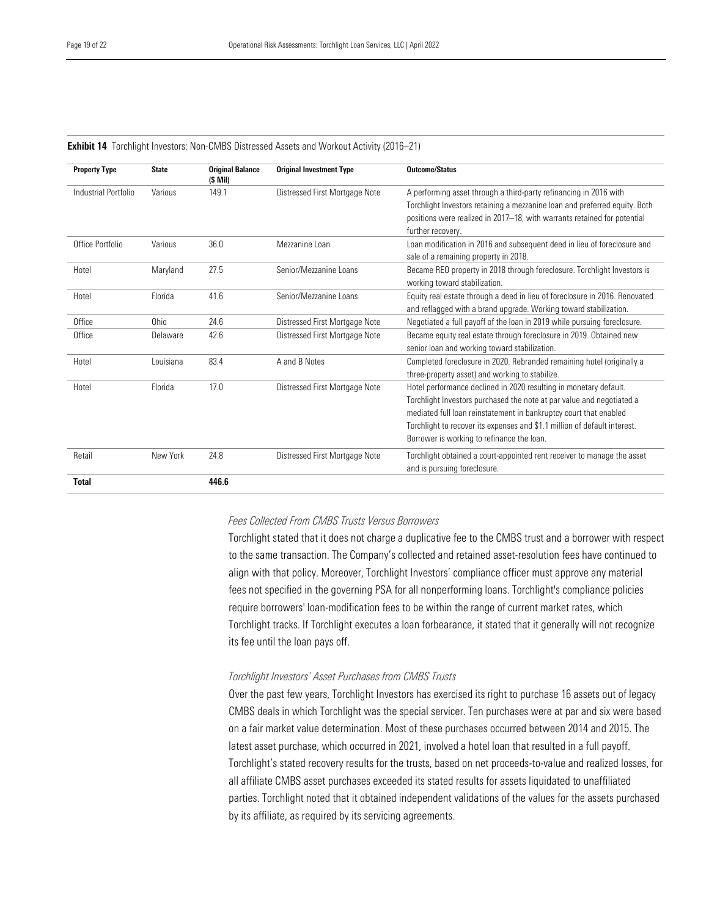|  |  | <b>Exhibit 14</b> Torchlight Investors: Non-CMBS Distressed Assets and Workout Activity (2016-21) |  |  |
|--|--|---------------------------------------------------------------------------------------------------|--|--|
|  |  |                                                                                                   |  |  |

| <b>Property Type</b> | <b>State</b> | <b>Original Balance</b><br>$(S$ Mil) | <b>Original Investment Type</b> | <b>Outcome/Status</b>                                                                                                                                                                                                                                                                                                                      |
|----------------------|--------------|--------------------------------------|---------------------------------|--------------------------------------------------------------------------------------------------------------------------------------------------------------------------------------------------------------------------------------------------------------------------------------------------------------------------------------------|
| Industrial Portfolio | Various      | 149.1                                | Distressed First Mortgage Note  | A performing asset through a third-party refinancing in 2016 with<br>Torchlight Investors retaining a mezzanine loan and preferred equity. Both<br>positions were realized in 2017-18, with warrants retained for potential<br>further recovery.                                                                                           |
| Office Portfolio     | Various      | 36.0                                 | Mezzanine Loan                  | Loan modification in 2016 and subsequent deed in lieu of foreclosure and<br>sale of a remaining property in 2018.                                                                                                                                                                                                                          |
| Hotel                | Maryland     | 27.5                                 | Senior/Mezzanine Loans          | Became REO property in 2018 through foreclosure. Torchlight Investors is<br>working toward stabilization.                                                                                                                                                                                                                                  |
| Hotel                | Florida      | 41.6                                 | Senior/Mezzanine Loans          | Equity real estate through a deed in lieu of foreclosure in 2016. Renovated<br>and reflagged with a brand upgrade. Working toward stabilization.                                                                                                                                                                                           |
| Office               | Ohio         | 24.6                                 | Distressed First Mortgage Note  | Negotiated a full payoff of the loan in 2019 while pursuing foreclosure.                                                                                                                                                                                                                                                                   |
| Office               | Delaware     | 42.6                                 | Distressed First Mortgage Note  | Became equity real estate through foreclosure in 2019. Obtained new<br>senior loan and working toward stabilization.                                                                                                                                                                                                                       |
| Hotel                | Louisiana    | 83.4                                 | A and B Notes                   | Completed foreclosure in 2020. Rebranded remaining hotel (originally a<br>three-property asset) and working to stabilize.                                                                                                                                                                                                                  |
| Hotel                | Florida      | 17.0                                 | Distressed First Mortgage Note  | Hotel performance declined in 2020 resulting in monetary default.<br>Torchlight Investors purchased the note at par value and negotiated a<br>mediated full loan reinstatement in bankruptcy court that enabled<br>Torchlight to recover its expenses and \$1.1 million of default interest.<br>Borrower is working to refinance the loan. |
| Retail               | New York     | 24.8                                 | Distressed First Mortgage Note  | Torchlight obtained a court-appointed rent receiver to manage the asset<br>and is pursuing foreclosure.                                                                                                                                                                                                                                    |
| <b>Total</b>         |              | 446.6                                |                                 |                                                                                                                                                                                                                                                                                                                                            |

#### *Fees Collected From CMBS Trusts Versus Borrowers*

Torchlight stated that it does not charge a duplicative fee to the CMBS trust and a borrower with respect to the same transaction. The Company's collected and retained asset-resolution fees have continued to align with that policy. Moreover, Torchlight Investors' compliance officer must approve any material fees not specified in the governing PSA for all nonperforming loans. Torchlight's compliance policies require borrowers' loan-modification fees to be within the range of current market rates, which Torchlight tracks. If Torchlight executes a loan forbearance, it stated that it generally will not recognize its fee until the loan pays off.

#### *Torchlight Investors' Asset Purchases from CMBS Trusts*

Over the past few years, Torchlight Investors has exercised its right to purchase 16 assets out of legacy CMBS deals in which Torchlight was the special servicer. Ten purchases were at par and six were based on a fair market value determination. Most of these purchases occurred between 2014 and 2015. The latest asset purchase, which occurred in 2021, involved a hotel loan that resulted in a full payoff. Torchlight's stated recovery results for the trusts, based on net proceeds-to-value and realized losses, for all affiliate CMBS asset purchases exceeded its stated results for assets liquidated to unaffiliated parties. Torchlight noted that it obtained independent validations of the values for the assets purchased by its affiliate, as required by its servicing agreements.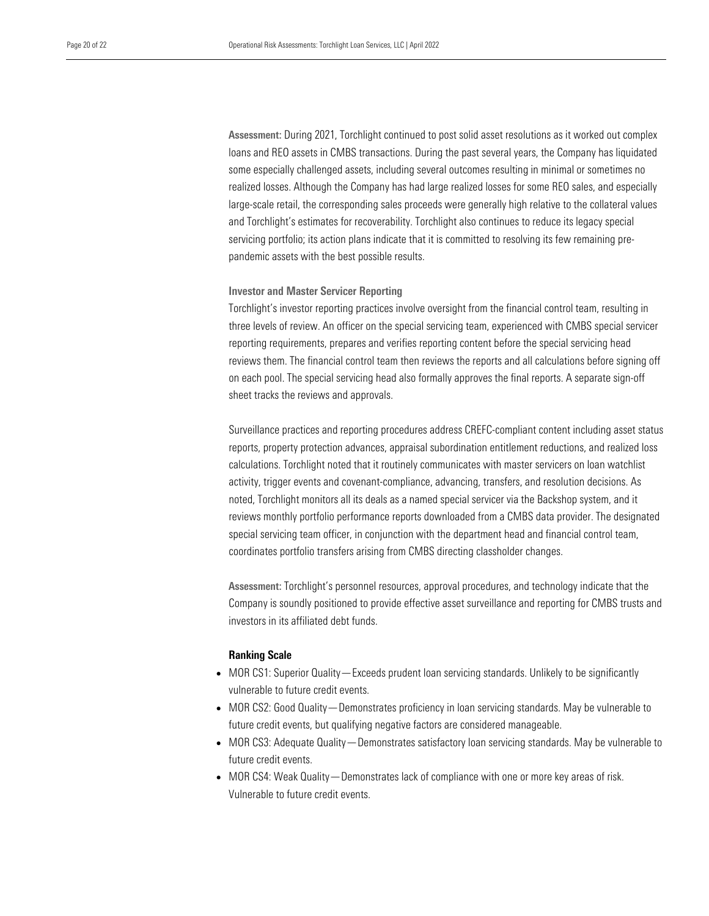Assessment: During 2021, Torchlight continued to post solid asset resolutions as it worked out complex loans and REO assets in CMBS transactions. During the past several years, the Company has liquidated some especially challenged assets, including several outcomes resulting in minimal or sometimes no realized losses. Although the Company has had large realized losses for some REO sales, and especially large-scale retail, the corresponding sales proceeds were generally high relative to the collateral values and Torchlight's estimates for recoverability. Torchlight also continues to reduce its legacy special servicing portfolio; its action plans indicate that it is committed to resolving its few remaining prepandemic assets with the best possible results.

#### Investor and Master Servicer Reporting

Torchlight's investor reporting practices involve oversight from the financial control team, resulting in three levels of review. An officer on the special servicing team, experienced with CMBS special servicer reporting requirements, prepares and verifies reporting content before the special servicing head reviews them. The financial control team then reviews the reports and all calculations before signing off on each pool. The special servicing head also formally approves the final reports. A separate sign-off sheet tracks the reviews and approvals.

Surveillance practices and reporting procedures address CREFC-compliant content including asset status reports, property protection advances, appraisal subordination entitlement reductions, and realized loss calculations. Torchlight noted that it routinely communicates with master servicers on loan watchlist activity, trigger events and covenant-compliance, advancing, transfers, and resolution decisions. As noted, Torchlight monitors all its deals as a named special servicer via the Backshop system, and it reviews monthly portfolio performance reports downloaded from a CMBS data provider. The designated special servicing team officer, in conjunction with the department head and financial control team, coordinates portfolio transfers arising from CMBS directing classholder changes.

Assessment: Torchlight's personnel resources, approval procedures, and technology indicate that the Company is soundly positioned to provide effective asset surveillance and reporting for CMBS trusts and investors in its affiliated debt funds.

#### Ranking Scale

- MOR CS1: Superior Quality—Exceeds prudent loan servicing standards. Unlikely to be significantly vulnerable to future credit events.
- MOR CS2: Good Quality Demonstrates proficiency in loan servicing standards. May be vulnerable to future credit events, but qualifying negative factors are considered manageable.
- MOR CS3: Adequate Quality Demonstrates satisfactory loan servicing standards. May be vulnerable to future credit events.
- MOR CS4: Weak Quality Demonstrates lack of compliance with one or more key areas of risk. Vulnerable to future credit events.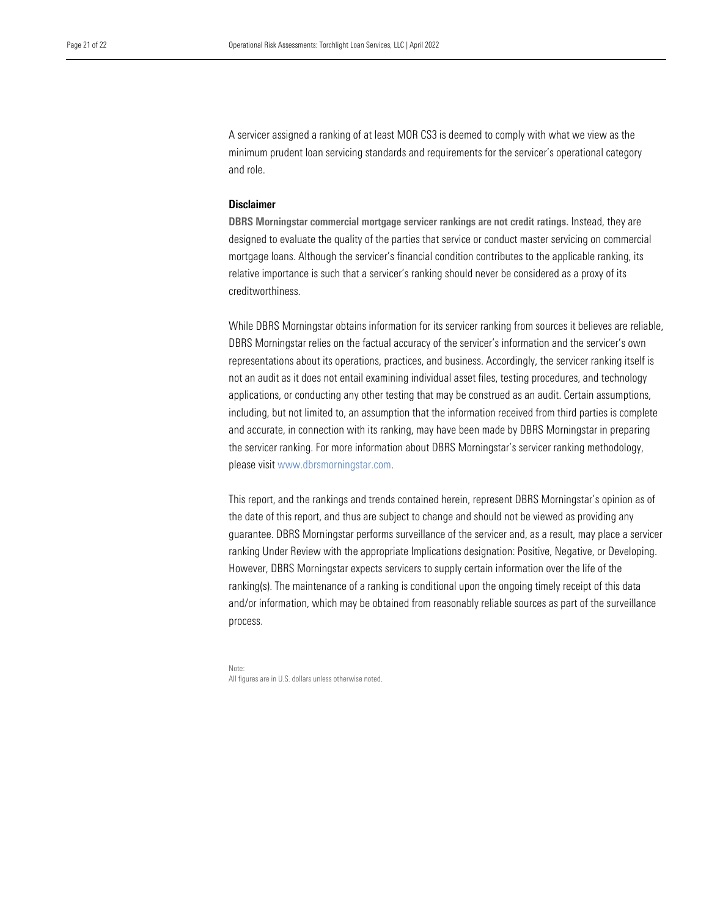A servicer assigned a ranking of at least MOR CS3 is deemed to comply with what we view as the minimum prudent loan servicing standards and requirements for the servicer's operational category and role.

#### **Disclaimer**

DBRS Morningstar commercial mortgage servicer rankings are not credit ratings. Instead, they are designed to evaluate the quality of the parties that service or conduct master servicing on commercial mortgage loans. Although the servicer's financial condition contributes to the applicable ranking, its relative importance is such that a servicer's ranking should never be considered as a proxy of its creditworthiness.

While DBRS Morningstar obtains information for its servicer ranking from sources it believes are reliable, DBRS Morningstar relies on the factual accuracy of the servicer's information and the servicer's own representations about its operations, practices, and business. Accordingly, the servicer ranking itself is not an audit as it does not entail examining individual asset files, testing procedures, and technology applications, or conducting any other testing that may be construed as an audit. Certain assumptions, including, but not limited to, an assumption that the information received from third parties is complete and accurate, in connection with its ranking, may have been made by DBRS Morningstar in preparing the servicer ranking. For more information about DBRS Morningstar's servicer ranking methodology, please visit www.dbrsmorningstar.com.

This report, and the rankings and trends contained herein, represent DBRS Morningstar's opinion as of the date of this report, and thus are subject to change and should not be viewed as providing any guarantee. DBRS Morningstar performs surveillance of the servicer and, as a result, may place a servicer ranking Under Review with the appropriate Implications designation: Positive, Negative, or Developing. However, DBRS Morningstar expects servicers to supply certain information over the life of the ranking(s). The maintenance of a ranking is conditional upon the ongoing timely receipt of this data and/or information, which may be obtained from reasonably reliable sources as part of the surveillance process.

Note: All figures are in U.S. dollars unless otherwise noted.